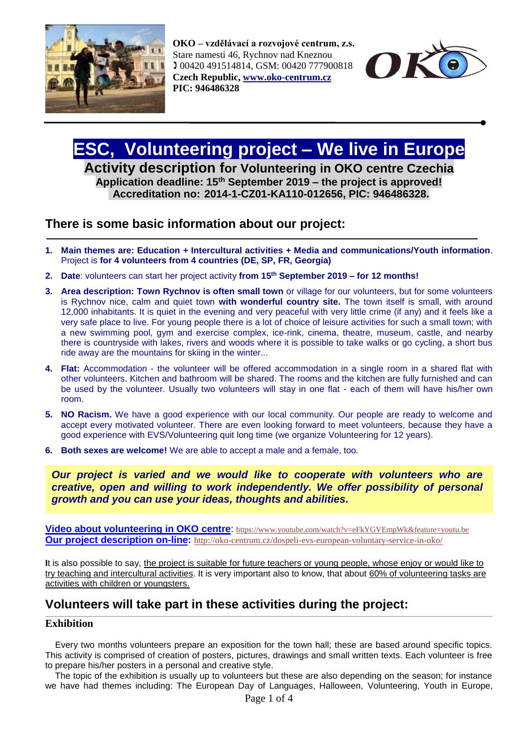

**OKO – vzdělávací a rozvojové centrum, z.s.** Stare namesti 46, Rychnov nad Kneznou 00420 491514814, GSM: 00420 777900818 **Czech Republic, [www.oko-centrum.cz](http://www.oko-centrum.cz/) PIC: 946486328**



# **ESC, Volunteering project – We live in Europe**

**Activity description for Volunteering in OKO centre Czechia Application deadline: 15th September 2019 – the project is approved! Accreditation no: 2014-1-CZ01-KA110-012656, PIC: 946486328.** 

### **There is some basic information about our project:**

- **1. Main themes are: Education + Intercultural activities + Media and communications/Youth information**. Project is **for 4 volunteers from 4 countries (DE, SP, FR, Georgia)**
- **2. Date**: volunteers can start her project activity **from 15 th September 2019 – for 12 months!**
- **3. Area description: Town Rychnov is often small town** or village for our volunteers, but for some volunteers is Rychnov nice, calm and quiet town **with wonderful country site.** The town itself is small, with around 12,000 inhabitants. It is quiet in the evening and very peaceful with very little crime (if any) and it feels like a very safe place to live. For young people there is a lot of choice of leisure activities for such a small town; with a new swimming pool, gym and exercise complex, ice-rink, cinema, theatre, museum, castle, and nearby there is countryside with lakes, rivers and woods where it is possible to take walks or go cycling, a short bus ride away are the mountains for skiing in the winter...
- **4. Flat:** Accommodation the volunteer will be offered accommodation in a single room in a shared flat with other volunteers. Kitchen and bathroom will be shared. The rooms and the kitchen are fully furnished and can be used by the volunteer. Usually two volunteers will stay in one flat - each of them will have his/her own room.
- **5. NO Racism.** We have a good experience with our local community. Our people are ready to welcome and accept every motivated volunteer. There are even looking forward to meet volunteers, because they have a good experience with EVS/Volunteering quit long time (we organize Volunteering for 12 years).
- **6. Both sexes are welcome!** We are able to accept a male and a female, too.

*Our project is varied and we would like to cooperate with volunteers who are creative, open and willing to work independently. We offer possibility of personal growth and you can use your ideas, thoughts and abilities.*

**[Video about volunteering in OKO centre](http://www.youtube.com/watch?v=eFkYGVEmpWk&feature=youtu.be):** <https://www.youtube.com/watch?v=eFkYGVEmpWk&feature=youtu.be> **[Our project description](http://oko-centrum.cz/dospeli-evs-european-voluntary-service-in-oko/) on-line:** <http://oko-centrum.cz/dospeli-evs-european-voluntary-service-in-oko/>

**I**t is also possible to say, the project is suitable for future teachers or young people, whose enjoy or would like to try teaching and intercultural activities. It is very important also to know, that about 60% of volunteering tasks are activities with children or youngsters.

## **Volunteers will take part in these activities during the project:**

#### **Exhibition**

Every two months volunteers prepare an exposition for the town hall; these are based around specific topics. This activity is comprised of creation of posters, pictures, drawings and small written texts. Each volunteer is free to prepare his/her posters in a personal and creative style.

\_\_\_\_\_\_\_\_\_\_\_\_\_\_\_\_\_\_\_\_\_\_\_\_\_\_\_\_\_\_\_\_\_\_\_\_\_\_\_\_\_\_\_\_\_\_\_\_\_\_\_\_\_\_\_\_\_\_\_\_\_\_\_\_\_\_\_\_\_\_\_\_\_\_\_\_\_\_\_\_\_\_\_\_\_\_\_\_\_\_\_\_\_\_\_\_\_\_\_\_\_\_\_\_\_\_\_\_\_\_\_\_\_\_\_\_\_\_\_\_\_\_\_\_\_\_\_\_\_\_\_\_\_\_\_\_\_\_\_\_\_\_\_\_\_\_\_\_\_\_\_\_\_\_\_\_\_\_\_\_\_\_\_\_\_\_\_\_

 The topic of the exhibition is usually up to volunteers but these are also depending on the season; for instance we have had themes including: The European Day of Languages, Halloween, Volunteering, Youth in Europe,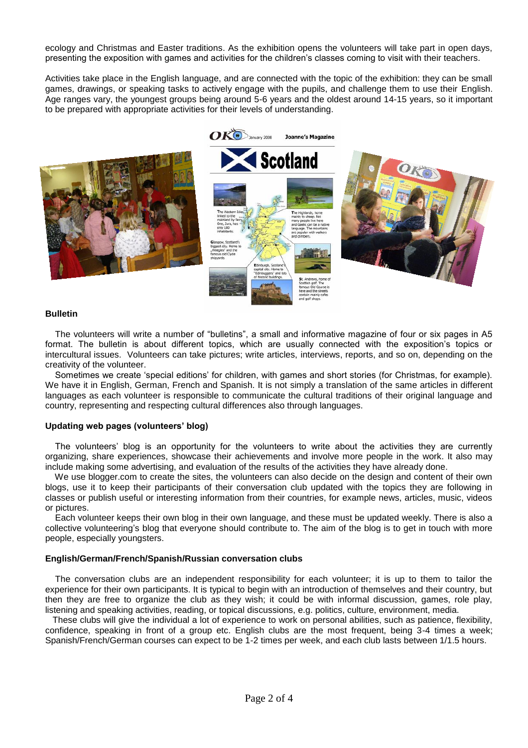ecology and Christmas and Easter traditions. As the exhibition opens the volunteers will take part in open days, presenting the exposition with games and activities for the children's classes coming to visit with their teachers.

Activities take place in the English language, and are connected with the topic of the exhibition: they can be small games, drawings, or speaking tasks to actively engage with the pupils, and challenge them to use their English. Age ranges vary, the youngest groups being around 5-6 years and the oldest around 14-15 years, so it important to be prepared with appropriate activities for their levels of understanding.



#### **Bulletin**

 The volunteers will write a number of "bulletins", a small and informative magazine of four or six pages in A5 format. The bulletin is about different topics, which are usually connected with the exposition's topics or intercultural issues. Volunteers can take pictures; write articles, interviews, reports, and so on, depending on the creativity of the volunteer.

 Sometimes we create 'special editions' for children, with games and short stories (for Christmas, for example). We have it in English, German, French and Spanish. It is not simply a translation of the same articles in different languages as each volunteer is responsible to communicate the cultural traditions of their original language and country, representing and respecting cultural differences also through languages.

#### **Updating web pages (volunteers' blog)**

The volunteers' blog is an opportunity for the volunteers to write about the activities they are currently organizing, share experiences, showcase their achievements and involve more people in the work. It also may include making some advertising, and evaluation of the results of the activities they have already done.

 We use blogger.com to create the sites, the volunteers can also decide on the design and content of their own blogs, use it to keep their participants of their conversation club updated with the topics they are following in classes or publish useful or interesting information from their countries, for example news, articles, music, videos or pictures.

 Each volunteer keeps their own blog in their own language, and these must be updated weekly. There is also a collective volunteering's blog that everyone should contribute to. The aim of the blog is to get in touch with more people, especially youngsters.

#### **English/German/French/Spanish/Russian conversation clubs**

 The conversation clubs are an independent responsibility for each volunteer; it is up to them to tailor the experience for their own participants. It is typical to begin with an introduction of themselves and their country, but then they are free to organize the club as they wish; it could be with informal discussion, games, role play, listening and speaking activities, reading, or topical discussions, e.g. politics, culture, environment, media.

 These clubs will give the individual a lot of experience to work on personal abilities, such as patience, flexibility, confidence, speaking in front of a group etc. English clubs are the most frequent, being 3-4 times a week; Spanish/French/German courses can expect to be 1-2 times per week, and each club lasts between 1/1.5 hours.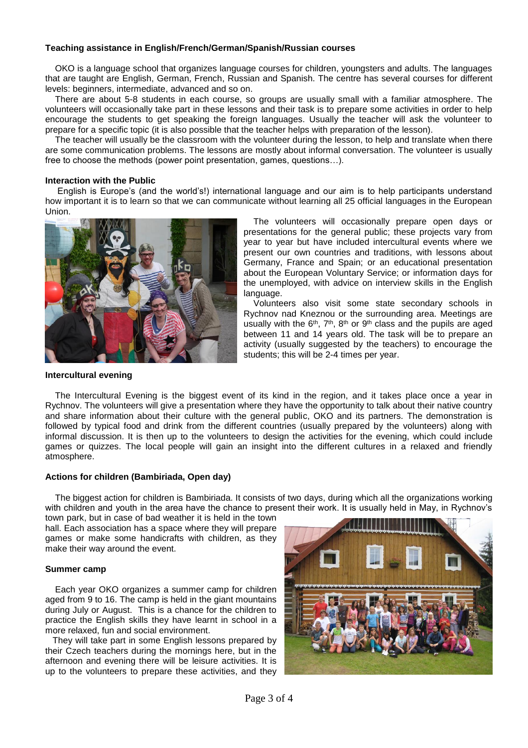#### **Teaching assistance in English/French/German/Spanish/Russian courses**

 OKO is a language school that organizes language courses for children, youngsters and adults. The languages that are taught are English, German, French, Russian and Spanish. The centre has several courses for different levels: beginners, intermediate, advanced and so on.

 There are about 5-8 students in each course, so groups are usually small with a familiar atmosphere. The volunteers will occasionally take part in these lessons and their task is to prepare some activities in order to help encourage the students to get speaking the foreign languages. Usually the teacher will ask the volunteer to prepare for a specific topic (it is also possible that the teacher helps with preparation of the lesson).

 The teacher will usually be the classroom with the volunteer during the lesson, to help and translate when there are some communication problems. The lessons are mostly about informal conversation. The volunteer is usually free to choose the methods (power point presentation, games, questions…).

#### **Interaction with the Public**

 English is Europe's (and the world's!) international language and our aim is to help participants understand how important it is to learn so that we can communicate without learning all 25 official languages in the European Union.



 The volunteers will occasionally prepare open days or presentations for the general public; these projects vary from year to year but have included intercultural events where we present our own countries and traditions, with lessons about Germany, France and Spain; or an educational presentation about the European Voluntary Service; or information days for the unemployed, with advice on interview skills in the English language.

 Volunteers also visit some state secondary schools in Rychnov nad Kneznou or the surrounding area. Meetings are usually with the  $6<sup>th</sup>$ ,  $7<sup>th</sup>$ ,  $8<sup>th</sup>$  or  $9<sup>th</sup>$  class and the pupils are aged between 11 and 14 years old. The task will be to prepare an activity (usually suggested by the teachers) to encourage the students; this will be 2-4 times per year.

#### **Intercultural evening**

 The Intercultural Evening is the biggest event of its kind in the region, and it takes place once a year in Rychnov. The volunteers will give a presentation where they have the opportunity to talk about their native country and share information about their culture with the general public, OKO and its partners. The demonstration is followed by typical food and drink from the different countries (usually prepared by the volunteers) along with informal discussion. It is then up to the volunteers to design the activities for the evening, which could include games or quizzes. The local people will gain an insight into the different cultures in a relaxed and friendly atmosphere.

#### **Actions for children (Bambiriada, Open day)**

The biggest action for children is Bambiriada. It consists of two days, during which all the organizations working with children and youth in the area have the chance to present their work. It is usually held in May, in Rychnov's

town park, but in case of bad weather it is held in the town hall. Each association has a space where they will prepare games or make some handicrafts with children, as they make their way around the event.

#### **Summer camp**

Each year OKO organizes a summer camp for children aged from 9 to 16. The camp is held in the giant mountains during July or August. This is a chance for the children to practice the English skills they have learnt in school in a more relaxed, fun and social environment.

 They will take part in some English lessons prepared by their Czech teachers during the mornings here, but in the afternoon and evening there will be leisure activities. It is up to the volunteers to prepare these activities, and they